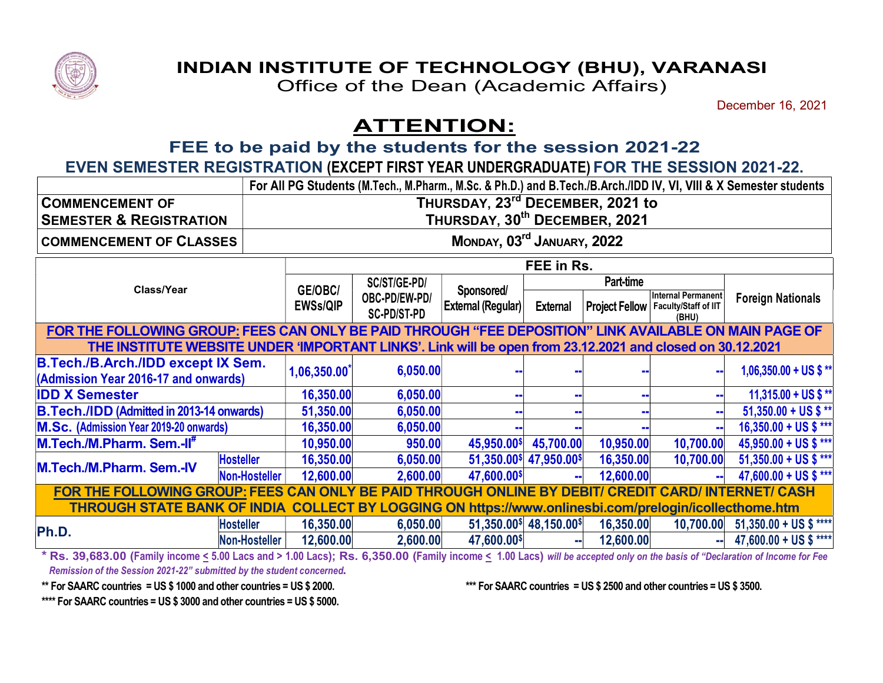

## INDIAN INSTITUTE OF TECHNOLOGY (BHU), VARANASI

Office of the Dean (Academic Affairs)

December 16, 2021

## ATTENTION:

FEE to be paid by the students for the session 2021-22

EVEN SEMESTER REGISTRATION (EXCEPT FIRST YEAR UNDERGRADUATE) FOR THE SESSION 2021-22.

|                                                                                                           |                  |                                           |                                                                |                                              |                         |           |                                                                             | For All PG Students (M.Tech., M.Pharm., M.Sc. & Ph.D.) and B.Tech./B.Arch./IDD IV, VI, VIII & X Semester students |
|-----------------------------------------------------------------------------------------------------------|------------------|-------------------------------------------|----------------------------------------------------------------|----------------------------------------------|-------------------------|-----------|-----------------------------------------------------------------------------|-------------------------------------------------------------------------------------------------------------------|
| <b>COMMENCEMENT OF</b>                                                                                    |                  |                                           |                                                                | THURSDAY, 23 <sup>rd</sup> DECEMBER, 2021 to |                         |           |                                                                             |                                                                                                                   |
| <b>SEMESTER &amp; REGISTRATION</b>                                                                        |                  | THURSDAY, 30 <sup>th</sup> DECEMBER, 2021 |                                                                |                                              |                         |           |                                                                             |                                                                                                                   |
| <b>COMMENCEMENT OF CLASSES</b>                                                                            |                  | MONDAY, 03 <sup>rd</sup> JANUARY, 2022    |                                                                |                                              |                         |           |                                                                             |                                                                                                                   |
|                                                                                                           |                  | FEE in Rs.                                |                                                                |                                              |                         |           |                                                                             |                                                                                                                   |
| Class/Year                                                                                                |                  |                                           | SC/ST/GE-PD/<br>GE/OBC/<br>OBC-PD/EW-PD/<br><b>SC-PD/ST-PD</b> | Sponsored/<br>External (Regular)             | Part-time               |           |                                                                             |                                                                                                                   |
|                                                                                                           |                  | <b>EWSs/QIP</b>                           |                                                                |                                              | <b>External</b>         |           | <b>Internal Permanent</b><br>Project Fellow   Faculty/Staff of IIT<br>(BHU) | <b>Foreign Nationals</b>                                                                                          |
| FOR THE FOLLOWING GROUP: FEES CAN ONLY BE PAID THROUGH "FEE DEPOSITION" LINK AVAILABLE ON MAIN PAGE OF    |                  |                                           |                                                                |                                              |                         |           |                                                                             |                                                                                                                   |
| THE INSTITUTE WEBSITE UNDER 'IMPORTANT LINKS'. Link will be open from 23.12.2021 and closed on 30.12.2021 |                  |                                           |                                                                |                                              |                         |           |                                                                             |                                                                                                                   |
| <b>B.Tech./B.Arch./IDD except IX Sem.</b><br>(Admission Year 2016-17 and onwards)                         |                  | $1,06,350.00$ <sup>*</sup>                | 6,050.00                                                       |                                              |                         |           |                                                                             | $1,06,350.00 + US$ \$ **                                                                                          |
|                                                                                                           |                  |                                           |                                                                |                                              |                         |           |                                                                             |                                                                                                                   |
| <b>IDD X Semester</b>                                                                                     |                  | 16,350.00                                 | 6,050.00                                                       |                                              |                         |           |                                                                             | 11,315.00 + US \$ **                                                                                              |
| <b>B.Tech./IDD (Admitted in 2013-14 onwards)</b>                                                          |                  | 51,350.00                                 | 6,050.00                                                       |                                              |                         |           |                                                                             | $51,350.00 + US$ \$ **                                                                                            |
| M.Sc. (Admission Year 2019-20 onwards)                                                                    |                  | 16,350.00                                 | 6,050.00                                                       |                                              |                         |           |                                                                             | 16,350.00 + US \$ ***                                                                                             |
| M.Tech./M.Pharm. Sem.-II <sup>#</sup>                                                                     |                  | 10,950.00                                 | 950.00                                                         | 45,950.00\$                                  | 45,700.00               | 10,950.00 | 10,700.00                                                                   | 45,950.00 + US \$ ***                                                                                             |
| M.Tech./M.Pharm. Sem.-IV                                                                                  | <b>Hosteller</b> | 16,350.00                                 | 6,050.00                                                       |                                              | 51,350.00\$ 47,950.00\$ | 16,350.00 | 10,700.00                                                                   | $51,350.00 + US$ \$ ***                                                                                           |
|                                                                                                           | Non-Hosteller    | 12,600.00                                 | 2,600.00                                                       | 47,600.00\$                                  |                         | 12,600.00 |                                                                             | 47,600.00 + US \$ ***                                                                                             |
| FOR THE FOLLOWING GROUP: FEES CAN ONLY BE PAID THROUGH ONLINE BY DEBIT/ CREDIT CARD/ INTERNET/ CASH       |                  |                                           |                                                                |                                              |                         |           |                                                                             |                                                                                                                   |
| THROUGH STATE BANK OF INDIA COLLECT BY LOGGING ON https://www.onlinesbi.com/prelogin/icollecthome.htm     |                  |                                           |                                                                |                                              |                         |           |                                                                             |                                                                                                                   |
| Ph.D.                                                                                                     | <b>Hosteller</b> | 16,350.00                                 | 6,050.00                                                       |                                              | 51,350.00\$ 48,150.00\$ | 16,350.00 |                                                                             | $10,700.00$ 51,350.00 + US \$ ****                                                                                |
|                                                                                                           | Non-Hosteller    | 12,600.00                                 | 2,600.00                                                       | 47,600.00\$                                  |                         | 12,600.00 |                                                                             | 47,600.00 + US \$ ****                                                                                            |

\* Rs. 39,683.00 (Family income < 5.00 Lacs and > 1.00 Lacs); Rs. 6,350.00 (Family income < 1.00 Lacs) will be accepted only on the basis of "Declaration of Income for Fee Remission of the Session 2021-22" submitted by the student concerned.

\*\* For SAARC countries = US \$ 1000 and other countries = US \$ 2000. \*\*\* For SAARC countries = US \$ 2500 and other countries = US \$ 3500.

\*\*\*\* For SAARC countries = US \$ 3000 and other countries = US \$ 5000.